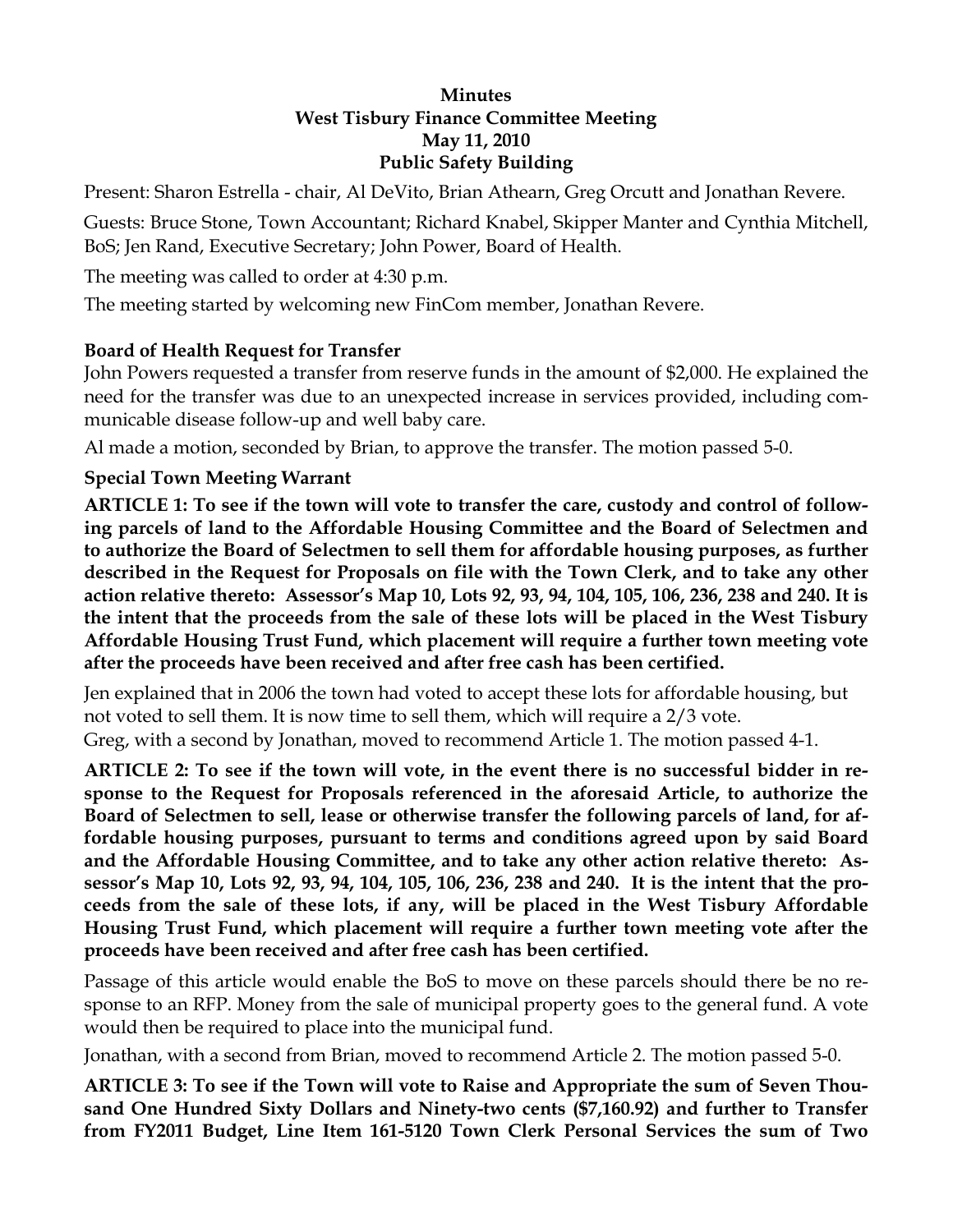#### **Minutes West Tisbury Finance Committee Meeting May 11, 2010 Public Safety Building**

Present: Sharon Estrella - chair, Al DeVito, Brian Athearn, Greg Orcutt and Jonathan Revere.

Guests: Bruce Stone, Town Accountant; Richard Knabel, Skipper Manter and Cynthia Mitchell, BoS; Jen Rand, Executive Secretary; John Power, Board of Health.

The meeting was called to order at 4:30 p.m.

The meeting started by welcoming new FinCom member, Jonathan Revere.

# **Board of Health Request for Transfer**

John Powers requested a transfer from reserve funds in the amount of \$2,000. He explained the need for the transfer was due to an unexpected increase in services provided, including communicable disease follow-up and well baby care.

Al made a motion, seconded by Brian, to approve the transfer. The motion passed 5-0.

# **Special Town Meeting Warrant**

**ARTICLE 1: To see if the town will vote to transfer the care, custody and control of following parcels of land to the Affordable Housing Committee and the Board of Selectmen and to authorize the Board of Selectmen to sell them for affordable housing purposes, as further described in the Request for Proposals on file with the Town Clerk, and to take any other action relative thereto: Assessor's Map 10, Lots 92, 93, 94, 104, 105, 106, 236, 238 and 240. It is the intent that the proceeds from the sale of these lots will be placed in the West Tisbury Affordable Housing Trust Fund, which placement will require a further town meeting vote after the proceeds have been received and after free cash has been certified.** 

Jen explained that in 2006 the town had voted to accept these lots for affordable housing, but not voted to sell them. It is now time to sell them, which will require a 2/3 vote. Greg, with a second by Jonathan, moved to recommend Article 1. The motion passed 4-1.

**ARTICLE 2: To see if the town will vote, in the event there is no successful bidder in response to the Request for Proposals referenced in the aforesaid Article, to authorize the Board of Selectmen to sell, lease or otherwise transfer the following parcels of land, for affordable housing purposes, pursuant to terms and conditions agreed upon by said Board and the Affordable Housing Committee, and to take any other action relative thereto: Assessor's Map 10, Lots 92, 93, 94, 104, 105, 106, 236, 238 and 240. It is the intent that the proceeds from the sale of these lots, if any, will be placed in the West Tisbury Affordable Housing Trust Fund, which placement will require a further town meeting vote after the proceeds have been received and after free cash has been certified.** 

Passage of this article would enable the BoS to move on these parcels should there be no response to an RFP. Money from the sale of municipal property goes to the general fund. A vote would then be required to place into the municipal fund.

Jonathan, with a second from Brian, moved to recommend Article 2. The motion passed 5-0.

**ARTICLE 3: To see if the Town will vote to Raise and Appropriate the sum of Seven Thousand One Hundred Sixty Dollars and Ninety-two cents (\$7,160.92) and further to Transfer from FY2011 Budget, Line Item 161-5120 Town Clerk Personal Services the sum of Two**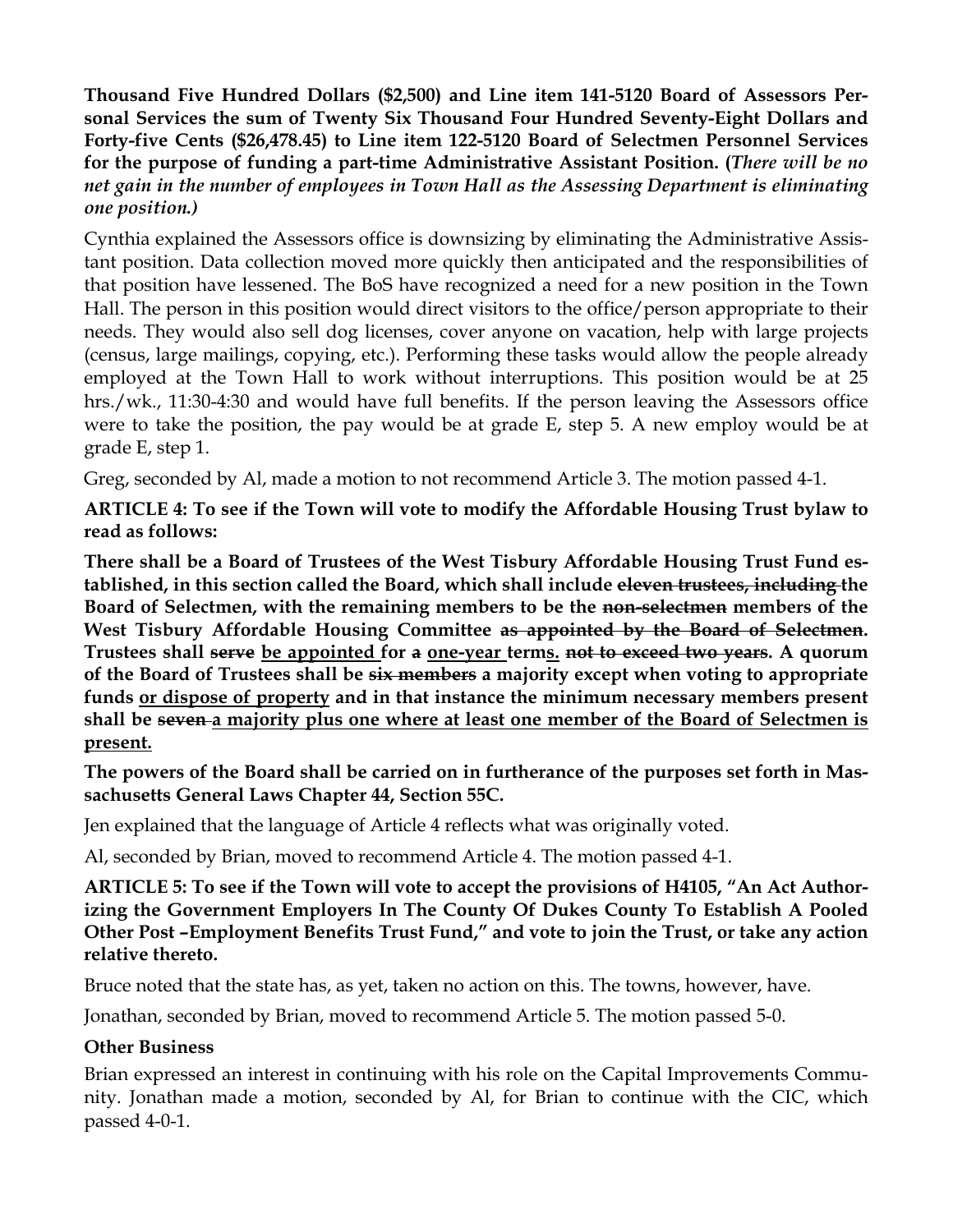**Thousand Five Hundred Dollars (\$2,500) and Line item 141-5120 Board of Assessors Personal Services the sum of Twenty Six Thousand Four Hundred Seventy-Eight Dollars and Forty-five Cents (\$26,478.45) to Line item 122-5120 Board of Selectmen Personnel Services for the purpose of funding a part-time Administrative Assistant Position. (***There will be no net gain in the number of employees in Town Hall as the Assessing Department is eliminating one position.)*

Cynthia explained the Assessors office is downsizing by eliminating the Administrative Assistant position. Data collection moved more quickly then anticipated and the responsibilities of that position have lessened. The BoS have recognized a need for a new position in the Town Hall. The person in this position would direct visitors to the office/person appropriate to their needs. They would also sell dog licenses, cover anyone on vacation, help with large projects (census, large mailings, copying, etc.). Performing these tasks would allow the people already employed at the Town Hall to work without interruptions. This position would be at 25 hrs./wk., 11:30-4:30 and would have full benefits. If the person leaving the Assessors office were to take the position, the pay would be at grade E, step 5. A new employ would be at grade E, step 1.

Greg, seconded by Al, made a motion to not recommend Article 3. The motion passed 4-1.

**ARTICLE 4: To see if the Town will vote to modify the Affordable Housing Trust bylaw to read as follows:** 

**There shall be a Board of Trustees of the West Tisbury Affordable Housing Trust Fund established, in this section called the Board, which shall include eleven trustees, including the Board of Selectmen, with the remaining members to be the non-selectmen members of the West Tisbury Affordable Housing Committee as appointed by the Board of Selectmen. Trustees shall serve be appointed for a one-year terms. not to exceed two years. A quorum of the Board of Trustees shall be six members a majority except when voting to appropriate funds or dispose of property and in that instance the minimum necessary members present shall be seven a majority plus one where at least one member of the Board of Selectmen is present.**

**The powers of the Board shall be carried on in furtherance of the purposes set forth in Massachusetts General Laws Chapter 44, Section 55C.** 

Jen explained that the language of Article 4 reflects what was originally voted.

Al, seconded by Brian, moved to recommend Article 4. The motion passed 4-1.

**ARTICLE 5: To see if the Town will vote to accept the provisions of H4105, "An Act Authorizing the Government Employers In The County Of Dukes County To Establish A Pooled Other Post –Employment Benefits Trust Fund," and vote to join the Trust, or take any action relative thereto.** 

Bruce noted that the state has, as yet, taken no action on this. The towns, however, have.

Jonathan, seconded by Brian, moved to recommend Article 5. The motion passed 5-0.

### **Other Business**

Brian expressed an interest in continuing with his role on the Capital Improvements Community. Jonathan made a motion, seconded by Al, for Brian to continue with the CIC, which passed 4-0-1.